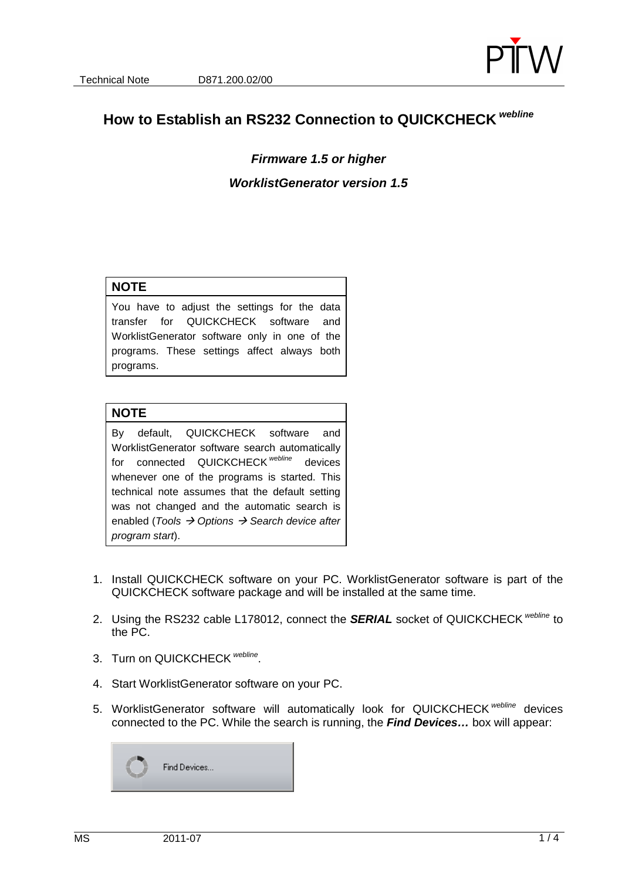

# **How to Establish an RS232 Connection to QUICKCHECK webline**

## **Firmware 1.5 or higher WorklistGenerator version 1.5**

#### **NOTE**

You have to adjust the settings for the data transfer for QUICKCHECK software and WorklistGenerator software only in one of the programs. These settings affect always both programs.

#### **NOTE**

By default, QUICKCHECK software and WorklistGenerator software search automatically for connected QUICKCHECK<sup>webline</sup> devices whenever one of the programs is started. This technical note assumes that the default setting was not changed and the automatic search is enabled (Tools  $\rightarrow$  Options  $\rightarrow$  Search device after program start).

- 1. Install QUICKCHECK software on your PC. WorklistGenerator software is part of the QUICKCHECK software package and will be installed at the same time.
- 2. Using the RS232 cable L178012, connect the **SERIAL** socket of QUICKCHECK webline to the PC.
- 3. Turn on QUICKCHECK webline.
- 4. Start WorklistGenerator software on your PC.
- 5. WorklistGenerator software will automatically look for QUICKCHECK webline devices connected to the PC. While the search is running, the **Find Devices…** box will appear:

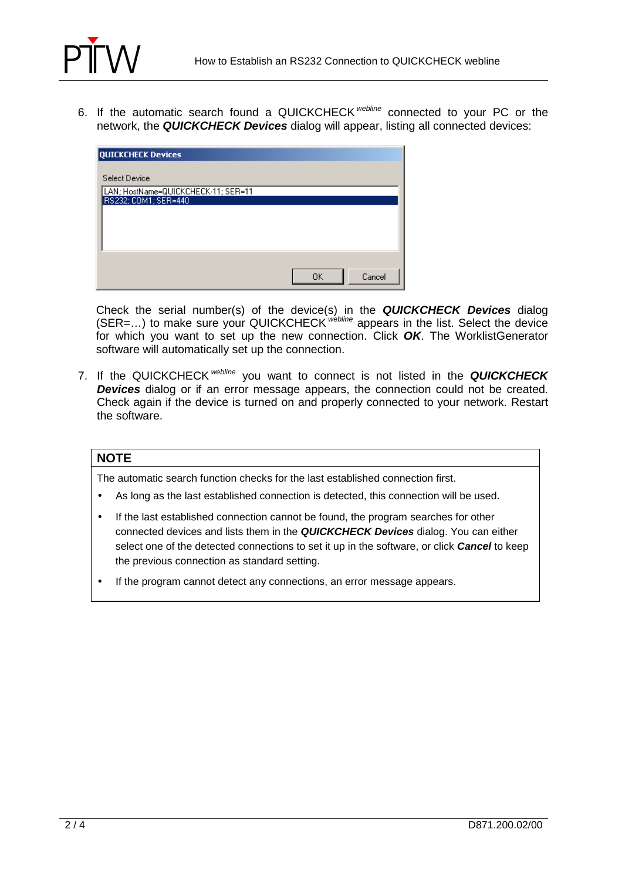

6. If the automatic search found a QUICKCHECK webline connected to your PC or the network, the **QUICKCHECK Devices** dialog will appear, listing all connected devices:

| <b>QUICKCHECK Devices</b>                                                    |              |
|------------------------------------------------------------------------------|--------------|
| Select Device<br>LAN; HostName=QUICKCHECK-11; SER=11<br>RS232; COM1; SER=440 |              |
|                                                                              |              |
|                                                                              |              |
|                                                                              | Cancel<br>OΚ |

Check the serial number(s) of the device(s) in the **QUICKCHECK Devices** dialog (SER=...) to make sure your QUICKCHECK webline appears in the list. Select the device for which you want to set up the new connection. Click **OK**. The WorklistGenerator software will automatically set up the connection.

7. If the QUICKCHECK webline you want to connect is not listed in the **QUICKCHECK Devices** dialog or if an error message appears, the connection could not be created. Check again if the device is turned on and properly connected to your network. Restart the software.

#### **NOTE**

The automatic search function checks for the last established connection first.

- As long as the last established connection is detected, this connection will be used.
- If the last established connection cannot be found, the program searches for other connected devices and lists them in the **QUICKCHECK Devices** dialog. You can either select one of the detected connections to set it up in the software, or click **Cancel** to keep the previous connection as standard setting.
- If the program cannot detect any connections, an error message appears.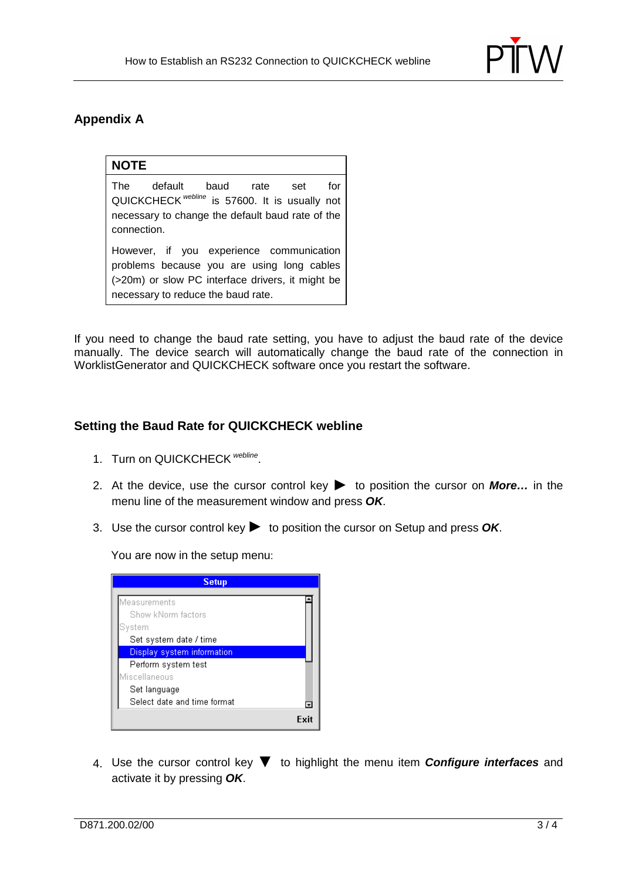

### **Appendix A**

#### **NOTE**

The default baud rate set for QUICKCHECK<sup>webline</sup> is 57600. It is usually not necessary to change the default baud rate of the connection.

However, if you experience communication problems because you are using long cables (>20m) or slow PC interface drivers, it might be necessary to reduce the baud rate.

If you need to change the baud rate setting, you have to adjust the baud rate of the device manually. The device search will automatically change the baud rate of the connection in WorklistGenerator and QUICKCHECK software once you restart the software.

#### **Setting the Baud Rate for QUICKCHECK webline**

- 1. Turn on QUICKCHECK Webline.
- 2. At the device, use the cursor control key ▶ to position the cursor on **More…** in the menu line of the measurement window and press **OK**.
- 3. Use the cursor control key▶ to position the cursor on Setup and press **OK**.

You are now in the setup menu:



4. Use the cursor control key ▼ to highlight the menu item **Configure interfaces** and activate it by pressing **OK**.